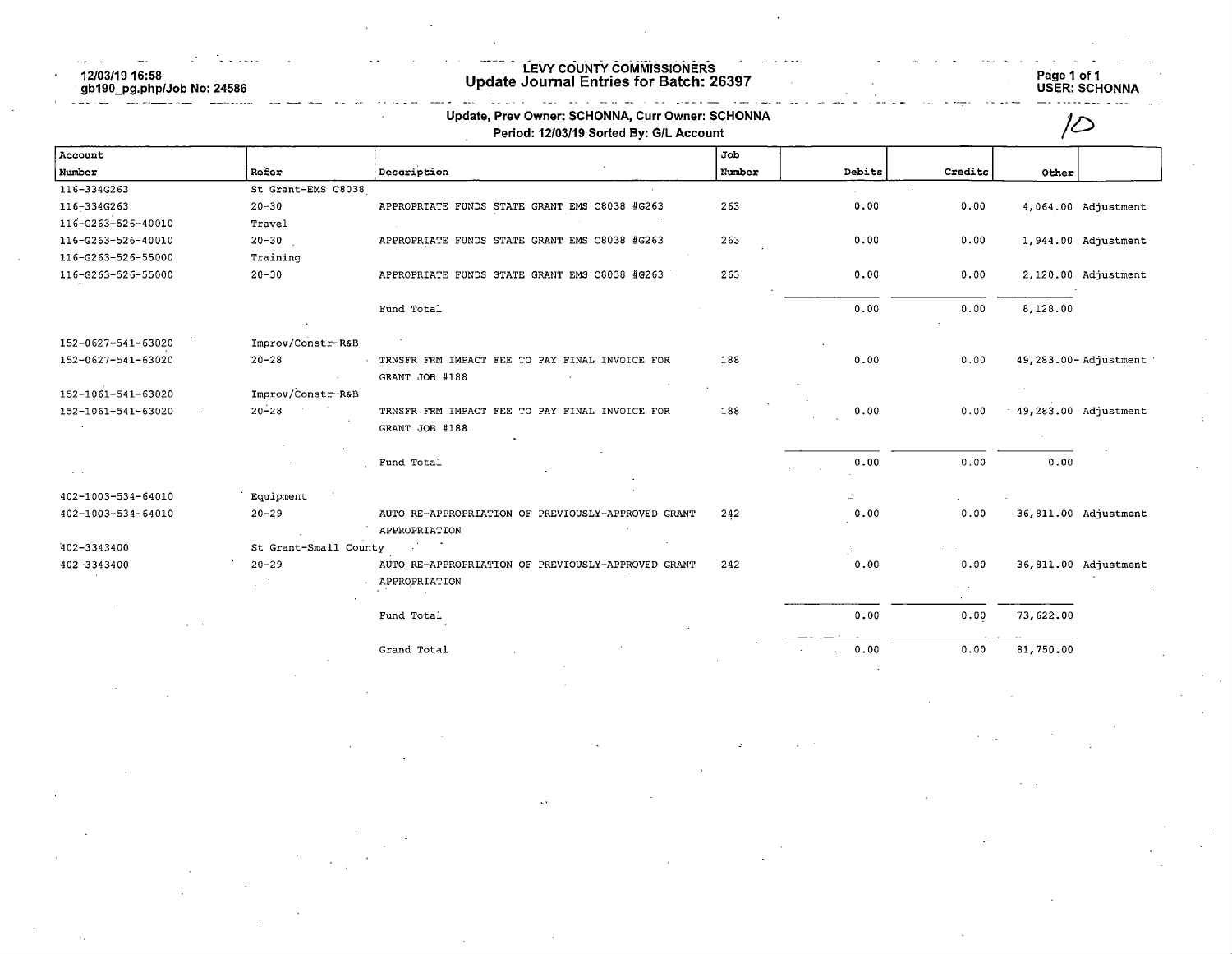$\frac{1}{2}$ 12/03/19 16:58 gb190\_pg.php  $\sim$ 

 $\mathbb{R}^{\mathbb{N}}$ 

i film a shekar

والتفاد

# LEVY COUNTY COMMISSIONERS

# NNA<br>---

 $\sim$ 

| Other     |                      |
|-----------|----------------------|
|           |                      |
|           |                      |
|           |                      |
|           |                      |
|           | 4,064.00 Adjustment  |
|           |                      |
|           | 1,944.00 Adjustment  |
|           |                      |
|           | 2,120.00 Adjustment  |
| 8,128.00  |                      |
|           |                      |
|           | 49,283.00-Adjustment |
|           |                      |
|           |                      |
|           | 49,283.00 Adjustment |
|           |                      |
|           |                      |
|           |                      |
|           |                      |
|           | 36,811.00 Adjustment |
|           |                      |
|           |                      |
|           | 36,811.00 Adjustment |
|           |                      |
|           |                      |
| 73,622.00 |                      |
|           | 0.00                 |

Grand Total 0.00 0.00 81,750.00

 $\bar{\zeta}$  .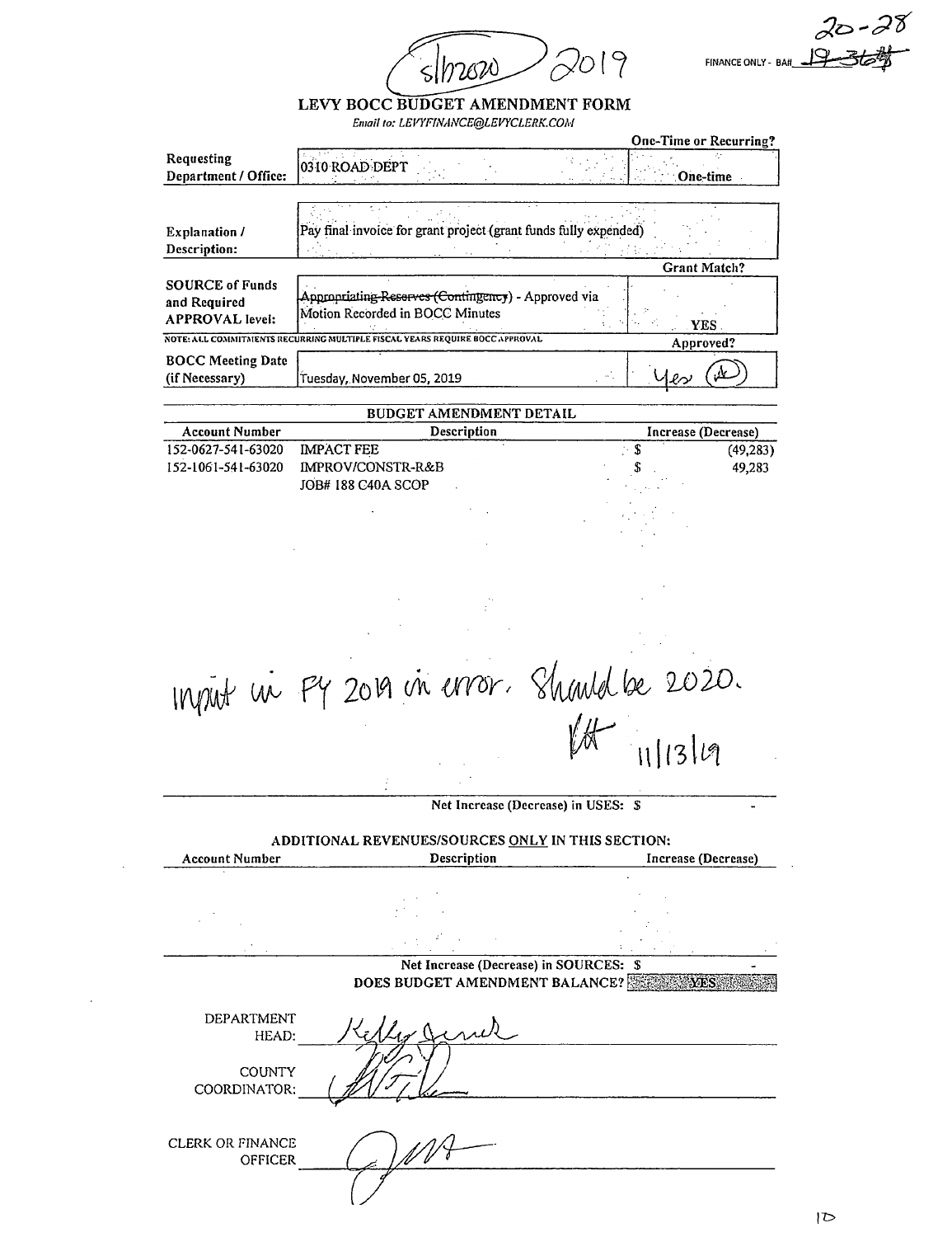019  $s/h2820$ 

 $20 - 28$ FINANCE ONLY - BA#

# LEVY BOCC BUDGET AMENDMENT FORM

Entail to: LEVYFINANCE@LEVYCLERK.COM

|                                                                  |                                                                                        | One-Time or Recurring? |
|------------------------------------------------------------------|----------------------------------------------------------------------------------------|------------------------|
| Requesting<br>Department / Office:                               | 0310 ROAD DEPT                                                                         | One-time.              |
|                                                                  |                                                                                        |                        |
|                                                                  |                                                                                        |                        |
| <b>Explanation</b> /                                             | Pay final invoice for grant project (grant funds fully expended)                       |                        |
| Description:                                                     |                                                                                        |                        |
|                                                                  |                                                                                        | Grant Match?           |
| <b>SOURCE of Funds</b><br>and Required<br><b>APPROVAL</b> level: | Appropriating Reserves (Contingency) - Approved via<br>Motion Recorded in BOCC Minutes | <b>YES</b>             |
|                                                                  | NOTE: ALL COMMITMENTS RECURRING MULTIPLE FISCAL YEARS REQUIRE BOCC APPROVAL            | Approved?              |
| <b>BOCC Meeting Date</b>                                         |                                                                                        |                        |
| (if Necessary)                                                   | Tuesday, November 05, 2019                                                             | $\ell$                 |

| <b>BUDGET AMENDMENT DETAIL</b> |                    |   |                     |
|--------------------------------|--------------------|---|---------------------|
| <b>Account Number</b>          | Description        |   | Increase (Decrease) |
| 152-0627-541-63020             | <b>IMPACT FEE</b>  |   | (49, 283)           |
| 152-1061-541-63020             | IMPROV/CONSTR-R&B  | S | 49,283              |
|                                | JOB# 188 C40A SCOP |   |                     |
|                                |                    |   |                     |

 $\begin{array}{rcl}\n\text{Input} & \text{in} & \text{Py 2019} & \text{in} & \text{error.} & \text{Standard be 2020.} \\
\text{M} & \text{111314}\n\end{array}$ 

Net Increase (Decrease) in USES: \$

ADDITIONAL REVENUES/SOURCES ONLY IN THIS SECTION: Account Number **Description** Description **Increase** (Decrease) Net Increase (Decrease) in SOURCES: \$ DOES BUDGET AMENDMENT BALANCE? DEPARTMENT HEAD: **COUNTY** COORDINATOR: CLERK OR FINANCE **OFFICER**  $\mathscr{G}(\mathcal{Y})$ 

 $\triangleright$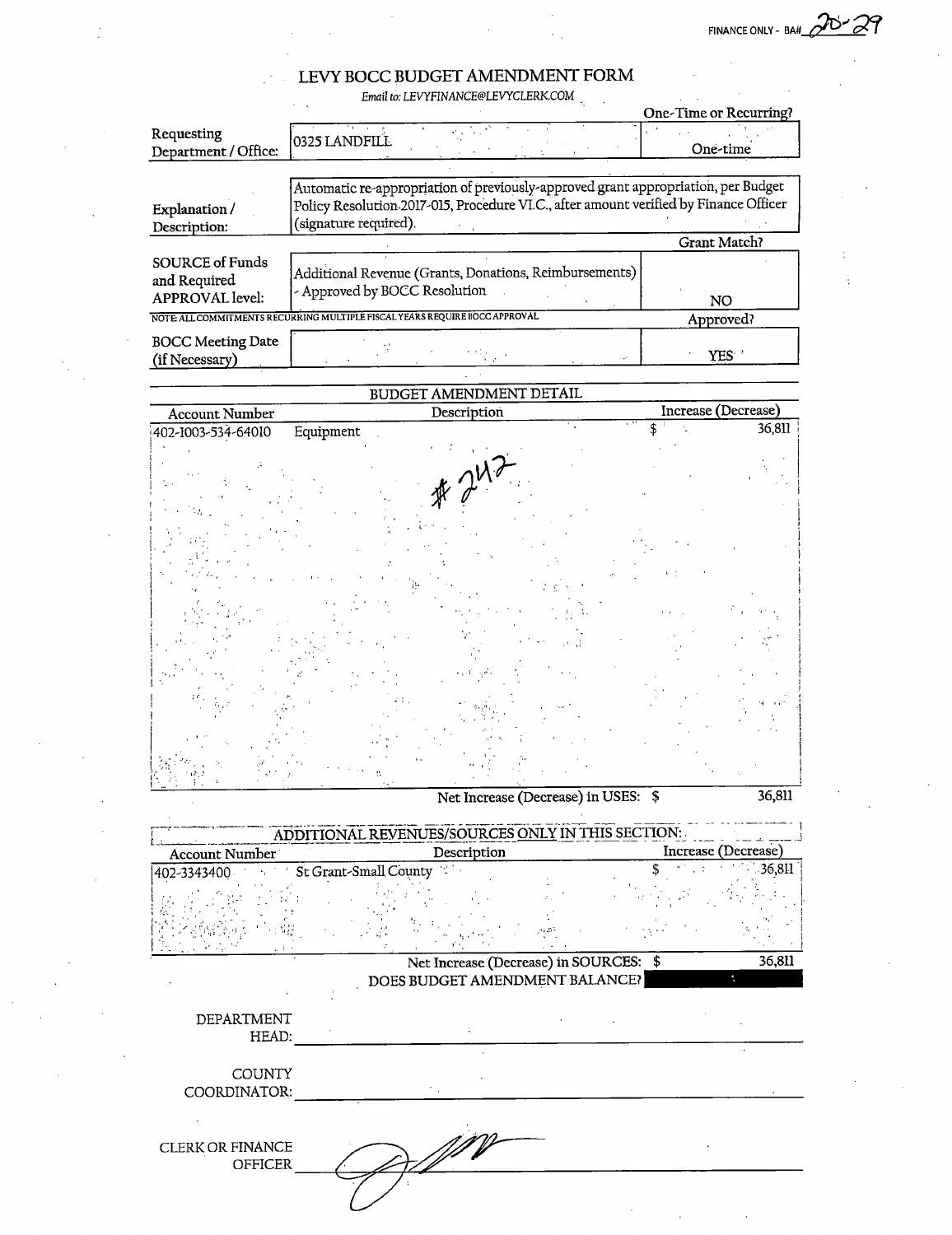$\sim 10^{11}$  km  $^{-1}$ 

 $\sim$   $\sim$ 

## LEVY BOCC BUDGET AMENDMENT FORM

 $\mathbb{R}^2$ 

 $\sim$ 

 $\sim 10^{-1}$ 

 $\sim$  .

Email to: LEVYFINANCE@LEVYCLERK.COM

|                                                                  | Email to: LEVYFINANCE@LEVYCLERK.COM                                                                                                                                                                 |                        |
|------------------------------------------------------------------|-----------------------------------------------------------------------------------------------------------------------------------------------------------------------------------------------------|------------------------|
|                                                                  |                                                                                                                                                                                                     | One-Time or Recurring? |
| Requesting<br>Department / Office:                               | 0325 LANDFILL                                                                                                                                                                                       | One-time               |
| Explanation /<br>Description:                                    | Automatic re-appropriation of previously-approved grant appropriation, per Budget<br>Policy Resolution 2017-015, Procedure VI.C., after amount verified by Finance Officer<br>(signature required). |                        |
|                                                                  |                                                                                                                                                                                                     | Grant Match?           |
| <b>SOURCE of Funds</b><br>and Required<br><b>APPROVAL</b> level: | Additional Revenue (Grants, Donations, Reimbursements)<br>- Approved by BOCC Resolution                                                                                                             | NO.                    |
|                                                                  | NOTE: ALL COMMITMENTS RECURRING MULTIPLE FISCAL YEARS REQUIRE BOCC APPROVAL                                                                                                                         | Approved?              |
| <b>BOCC Meeting Date</b><br>(if Necessary)                       |                                                                                                                                                                                                     | YES :                  |

# BUDGET AMENDMENT DETAIL

| <b>Account Number</b>           | Description                                       | Increase (Decrease) |
|---------------------------------|---------------------------------------------------|---------------------|
| Equipment<br>402-1003-534-64010 |                                                   | 36,811              |
|                                 |                                                   |                     |
|                                 |                                                   |                     |
|                                 |                                                   |                     |
|                                 | # 242                                             |                     |
|                                 |                                                   |                     |
|                                 |                                                   |                     |
|                                 |                                                   |                     |
|                                 |                                                   |                     |
|                                 |                                                   |                     |
|                                 |                                                   |                     |
|                                 |                                                   |                     |
|                                 |                                                   |                     |
|                                 |                                                   |                     |
|                                 |                                                   |                     |
|                                 |                                                   |                     |
|                                 |                                                   |                     |
|                                 |                                                   |                     |
|                                 | Net Increase (Decrease) in USES: \$               | 36,811              |
|                                 | ADDITIONAL REVENUES/SOURCES ONLY IN THIS SECTION: |                     |
| Account Number                  | Description                                       | Increase (Decrease) |
| 402-3343400<br>$\mathcal{F}$    | St Grant-Small County                             | 36,811              |
|                                 |                                                   |                     |
|                                 |                                                   |                     |
|                                 |                                                   |                     |
|                                 | Net Increase (Decrease) in SOURCES: \$            | 36,811              |
|                                 | DOES BUDGET AMENDMENT BALANCE?                    | ÷,                  |
|                                 |                                                   |                     |
| DEPARTMENT                      |                                                   |                     |
| HEAD:                           |                                                   |                     |
| COUNTY                          |                                                   |                     |
| COORDINATOR:                    |                                                   |                     |
|                                 |                                                   |                     |
|                                 |                                                   |                     |
| <b>CLERK OR FINANCE</b>         |                                                   |                     |
| <b>OFFICER</b>                  |                                                   |                     |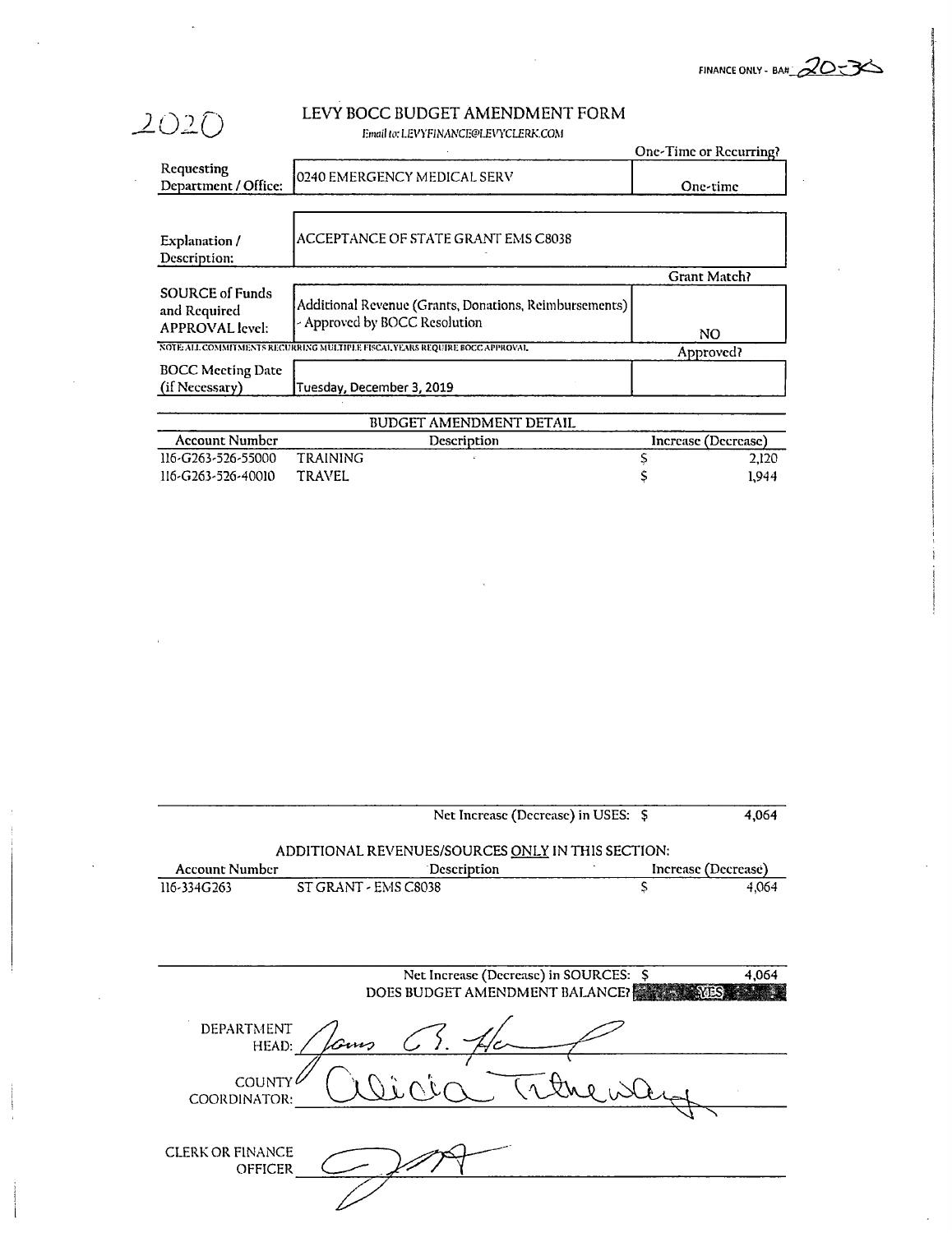FINANCE ONLY - BA# $\sqrt{2}$ 

#### LEVY BOCC BUDGET AMENDMENT FORM Email to: LEVYFINANCE@LEVYCLERK.COM

2020

 $\sim$ 

|                                                                  |                                                                                         | One-Time or Recurring? |       |
|------------------------------------------------------------------|-----------------------------------------------------------------------------------------|------------------------|-------|
| Requesting<br>Department / Office:                               | 0240 EMERGENCY MEDICAL SERV                                                             | One-time               |       |
| Explanation /<br>Description:                                    | ACCEPTANCE OF STATE GRANT EMS C8038                                                     |                        |       |
|                                                                  |                                                                                         | <b>Grant Match?</b>    |       |
| <b>SOURCE of Funds</b><br>and Required<br><b>APPROVAL</b> level: | Additional Revenue (Grants, Donations, Reimbursements)<br>- Approved by BOCC Resolution | NO                     |       |
|                                                                  | NOTE ALL COMMITMENTS RECURRING MULTIPLE FISCAL YEARS REQUIRE BOCC APPROVAL              | Approved?              |       |
| <b>BOCC Meeting Date</b><br>(if Necessary)                       | Tuesday, December 3, 2019                                                               |                        |       |
|                                                                  | BUDGET AMENDMENT DETAIL                                                                 |                        |       |
| <b>Account Number</b>                                            | Description                                                                             | Increase (Decrease)    |       |
| 116-G263-526-55000                                               | <b>TRAINING</b>                                                                         |                        | 2,120 |
| 116-G263-526-40010                                               | TRAVEL                                                                                  |                        | 1,944 |

|                                    | Net Increase (Decrease) in USES: \$                                      |                     | 4,064 |
|------------------------------------|--------------------------------------------------------------------------|---------------------|-------|
|                                    | ADDITIONAL REVENUES/SOURCES ONLY IN THIS SECTION:                        |                     |       |
| <b>Account Number</b>              | Description                                                              | Increase (Decrease) |       |
| 116-334G263                        | ST GRANT - EMS C8038                                                     | S                   | 4,064 |
|                                    | Net Increase (Decrease) in SOURCES: \$<br>DOES BUDGET AMENDMENT BALANCE? |                     | 4,064 |
| DEPARTMENT<br>HEAD:                |                                                                          |                     |       |
| COUNTY<br>COORDINATOR:             |                                                                          |                     |       |
| <b>CLERK OR FINANCE</b><br>OFFICER |                                                                          |                     |       |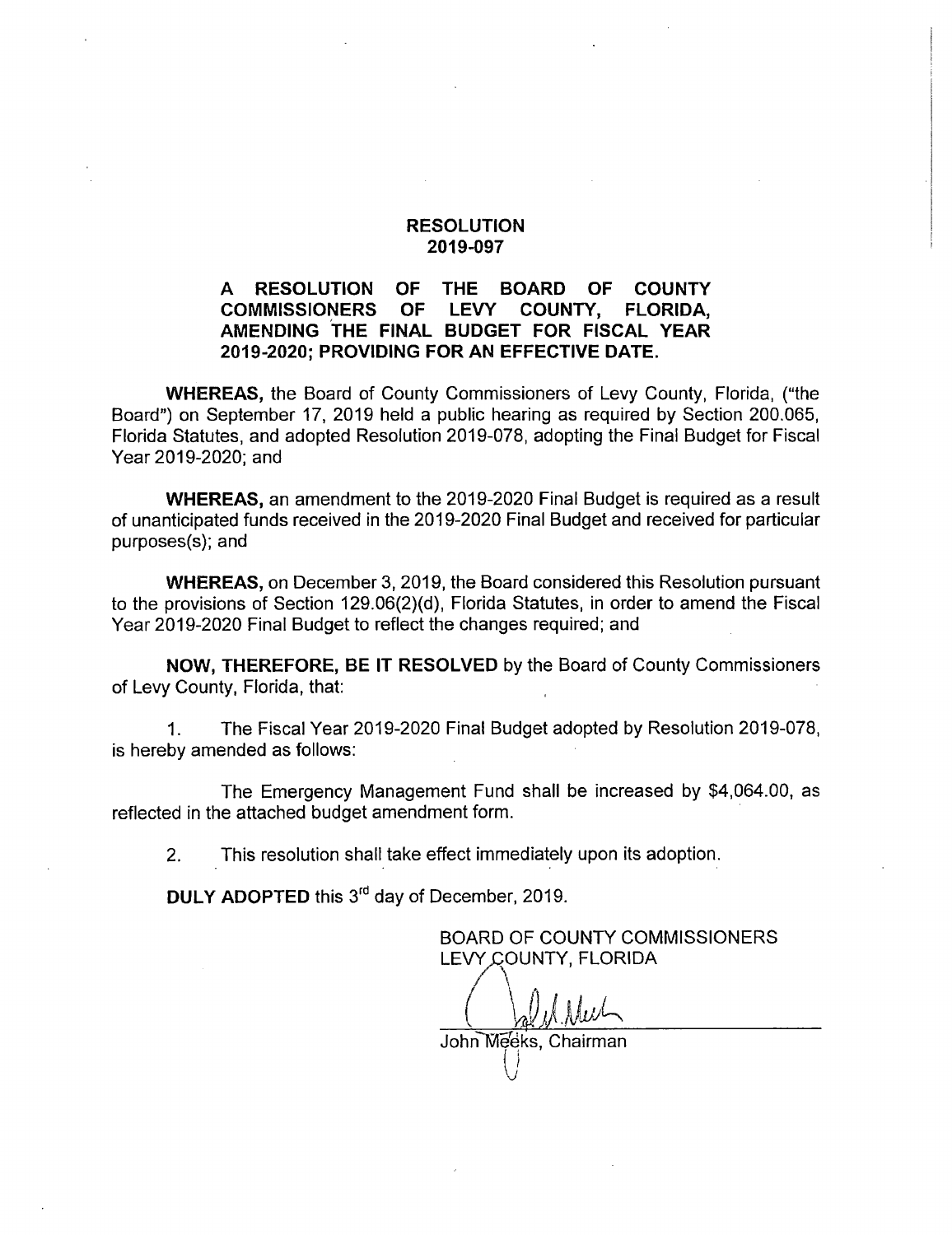#### RESOLUTION 2019-097

## A RESOLUTION OF THE BOARD OF COUNTY<br>COMMISSIONERS OF LEVY COUNTY. FLORIDA. COMMISSIONERS OF AMENDING THE FINAL BUDGET FOR FISCAL YEAR 2019-2020; PROVIDING FOR AN EFFECTIVE DATE.

WHEREAS, the Board of County Commissioners of Levy County, Florida, ("the Board") on September 17, 2019 held a public hearing as required by Section 200.065, Florida Statutes, and adopted Resolution 2019-078, adopting the Final Budget for Fiscal Year 2019-2020; and

WHEREAS, an amendment to the 2019-2020 Final Budget is required as a result of unanticipated funds received in the 2019-2020 Final Budget and received for particular purposes(s); and

WHEREAS, on December 3, 2019, the Board considered this Resolution pursuant to the provisions of Section 129.06(2)(d), Florida Statutes, in order to amend the Fiscal Year 2019-2020 Final Budget to reflect the changes required; and

NOW, THEREFORE, BE IT RESOLVED by the Board of County Commissioners of Levy County, Florida, that:

1. The Fiscal Year 2019-2020 Final Budget adopted by Resolution 2019-078, is hereby amended as follows:

The Emergency Management Fund shall be increased by \$4,064.00, as reflected in the attached budget amendment form.

2. This resolution shall take effect immediately upon its adoption.

**DULY ADOPTED this 3<sup>rd</sup> day of December, 2019.** 

BOARD OF COUNTY COMMISSIONERS LEVY COUNTY, FLORIDA

John Meeks, Chairman